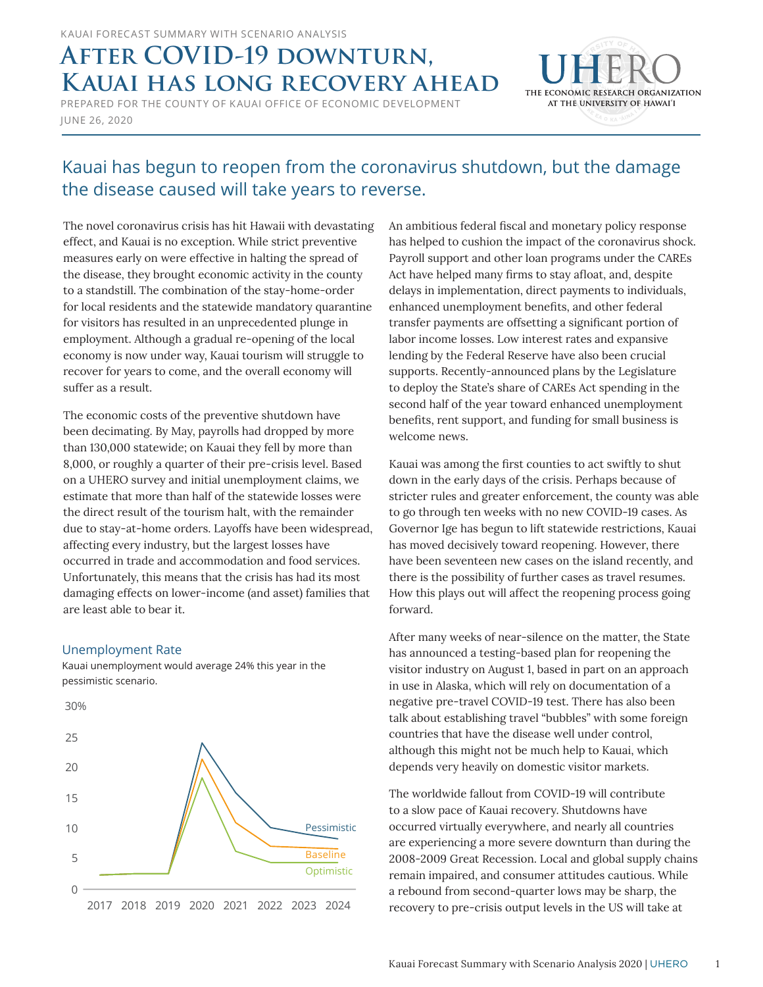# **AFTER COVID-19 DOWNTURN, Kauai has long recovery ahead**

JUNE 26, 2020 PREPARED FOR THE COUNTY OF KAUAI OFFICE OF ECONOMIC DEVELOPMENT



# Kauai has begun to reopen from the coronavirus shutdown, but the damage the disease caused will take years to reverse.

The novel coronavirus crisis has hit Hawaii with devastating effect, and Kauai is no exception. While strict preventive measures early on were effective in halting the spread of the disease, they brought economic activity in the county to a standstill. The combination of the stay-home-order for local residents and the statewide mandatory quarantine for visitors has resulted in an unprecedented plunge in employment. Although a gradual re-opening of the local economy is now under way, Kauai tourism will struggle to recover for years to come, and the overall economy will suffer as a result.

The economic costs of the preventive shutdown have been decimating. By May, payrolls had dropped by more than 130,000 statewide; on Kauai they fell by more than 8,000, or roughly a quarter of their pre-crisis level. Based on a UHERO survey and initial unemployment claims, we estimate that more than half of the statewide losses were the direct result of the tourism halt, with the remainder due to stay-at-home orders. Layoffs have been widespread, affecting every industry, but the largest losses have occurred in trade and accommodation and food services. Unfortunately, this means that the crisis has had its most damaging effects on lower-income (and asset) families that are least able to bear it.

## Unemployment Rate

Kauai unemployment would average 24% this year in the pessimistic scenario.



An ambitious federal fiscal and monetary policy response has helped to cushion the impact of the coronavirus shock. Payroll support and other loan programs under the CAREs Act have helped many firms to stay afloat, and, despite delays in implementation, direct payments to individuals, enhanced unemployment benefits, and other federal transfer payments are offsetting a significant portion of labor income losses. Low interest rates and expansive lending by the Federal Reserve have also been crucial supports. Recently-announced plans by the Legislature to deploy the State's share of CAREs Act spending in the second half of the year toward enhanced unemployment benefits, rent support, and funding for small business is welcome news.

Kauai was among the first counties to act swiftly to shut down in the early days of the crisis. Perhaps because of stricter rules and greater enforcement, the county was able to go through ten weeks with no new COVID-19 cases. As Governor Ige has begun to lift statewide restrictions, Kauai has moved decisively toward reopening. However, there have been seventeen new cases on the island recently, and there is the possibility of further cases as travel resumes. How this plays out will affect the reopening process going forward.

After many weeks of near-silence on the matter, the State has announced a testing-based plan for reopening the visitor industry on August 1, based in part on an approach in use in Alaska, which will rely on documentation of a negative pre-travel COVID-19 test. There has also been talk about establishing travel "bubbles" with some foreign countries that have the disease well under control, although this might not be much help to Kauai, which depends very heavily on domestic visitor markets.

The worldwide fallout from COVID-19 will contribute to a slow pace of Kauai recovery. Shutdowns have occurred virtually everywhere, and nearly all countries are experiencing a more severe downturn than during the 2008-2009 Great Recession. Local and global supply chains remain impaired, and consumer attitudes cautious. While a rebound from second-quarter lows may be sharp, the recovery to pre-crisis output levels in the US will take at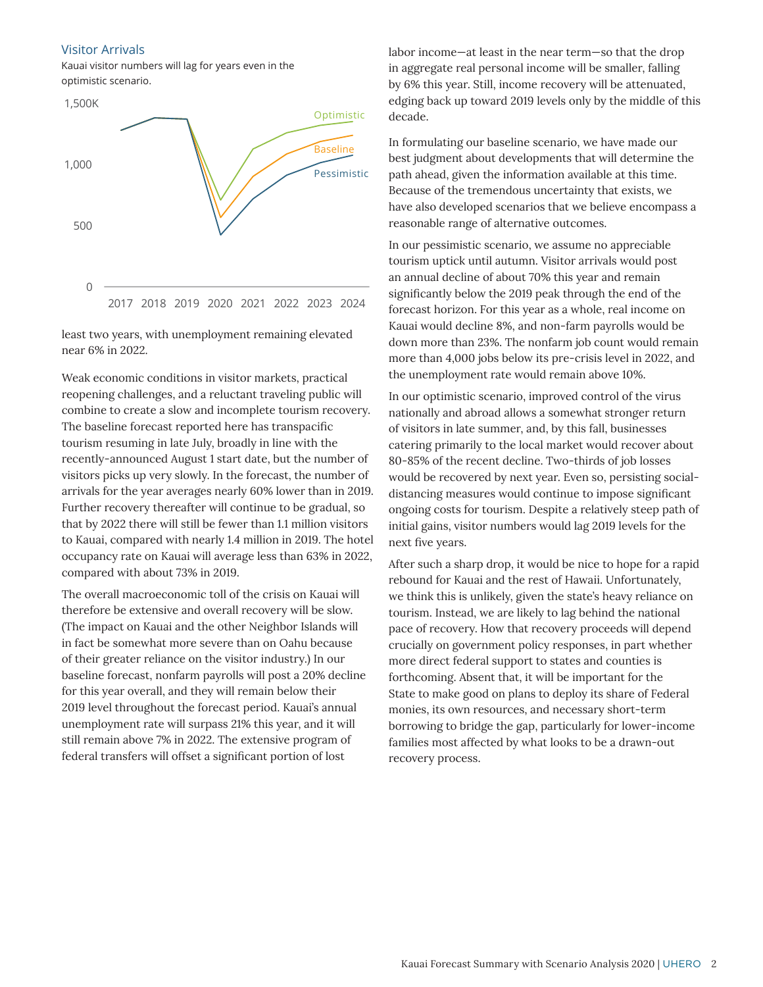### Visitor Arrivals

Kauai visitor numbers will lag for years even in the optimistic scenario.



least two years, with unemployment remaining elevated near 6% in 2022.

Weak economic conditions in visitor markets, practical reopening challenges, and a reluctant traveling public will combine to create a slow and incomplete tourism recovery. The baseline forecast reported here has transpacific tourism resuming in late July, broadly in line with the recently-announced August 1 start date, but the number of visitors picks up very slowly. In the forecast, the number of arrivals for the year averages nearly 60% lower than in 2019. Further recovery thereafter will continue to be gradual, so that by 2022 there will still be fewer than 1.1 million visitors to Kauai, compared with nearly 1.4 million in 2019. The hotel occupancy rate on Kauai will average less than 63% in 2022, compared with about 73% in 2019.

The overall macroeconomic toll of the crisis on Kauai will therefore be extensive and overall recovery will be slow. (The impact on Kauai and the other Neighbor Islands will in fact be somewhat more severe than on Oahu because of their greater reliance on the visitor industry.) In our baseline forecast, nonfarm payrolls will post a 20% decline for this year overall, and they will remain below their 2019 level throughout the forecast period. Kauai's annual unemployment rate will surpass 21% this year, and it will still remain above 7% in 2022. The extensive program of federal transfers will offset a significant portion of lost

labor income—at least in the near term—so that the drop in aggregate real personal income will be smaller, falling by 6% this year. Still, income recovery will be attenuated, edging back up toward 2019 levels only by the middle of this decade.

In formulating our baseline scenario, we have made our best judgment about developments that will determine the path ahead, given the information available at this time. Because of the tremendous uncertainty that exists, we have also developed scenarios that we believe encompass a reasonable range of alternative outcomes.

In our pessimistic scenario, we assume no appreciable tourism uptick until autumn. Visitor arrivals would post an annual decline of about 70% this year and remain significantly below the 2019 peak through the end of the forecast horizon. For this year as a whole, real income on Kauai would decline 8%, and non-farm payrolls would be down more than 23%. The nonfarm job count would remain more than 4,000 jobs below its pre-crisis level in 2022, and the unemployment rate would remain above 10%.

In our optimistic scenario, improved control of the virus nationally and abroad allows a somewhat stronger return of visitors in late summer, and, by this fall, businesses catering primarily to the local market would recover about 80-85% of the recent decline. Two-thirds of job losses would be recovered by next year. Even so, persisting socialdistancing measures would continue to impose significant ongoing costs for tourism. Despite a relatively steep path of initial gains, visitor numbers would lag 2019 levels for the next five years.

After such a sharp drop, it would be nice to hope for a rapid rebound for Kauai and the rest of Hawaii. Unfortunately, we think this is unlikely, given the state's heavy reliance on tourism. Instead, we are likely to lag behind the national pace of recovery. How that recovery proceeds will depend crucially on government policy responses, in part whether more direct federal support to states and counties is forthcoming. Absent that, it will be important for the State to make good on plans to deploy its share of Federal monies, its own resources, and necessary short-term borrowing to bridge the gap, particularly for lower-income families most affected by what looks to be a drawn-out recovery process.